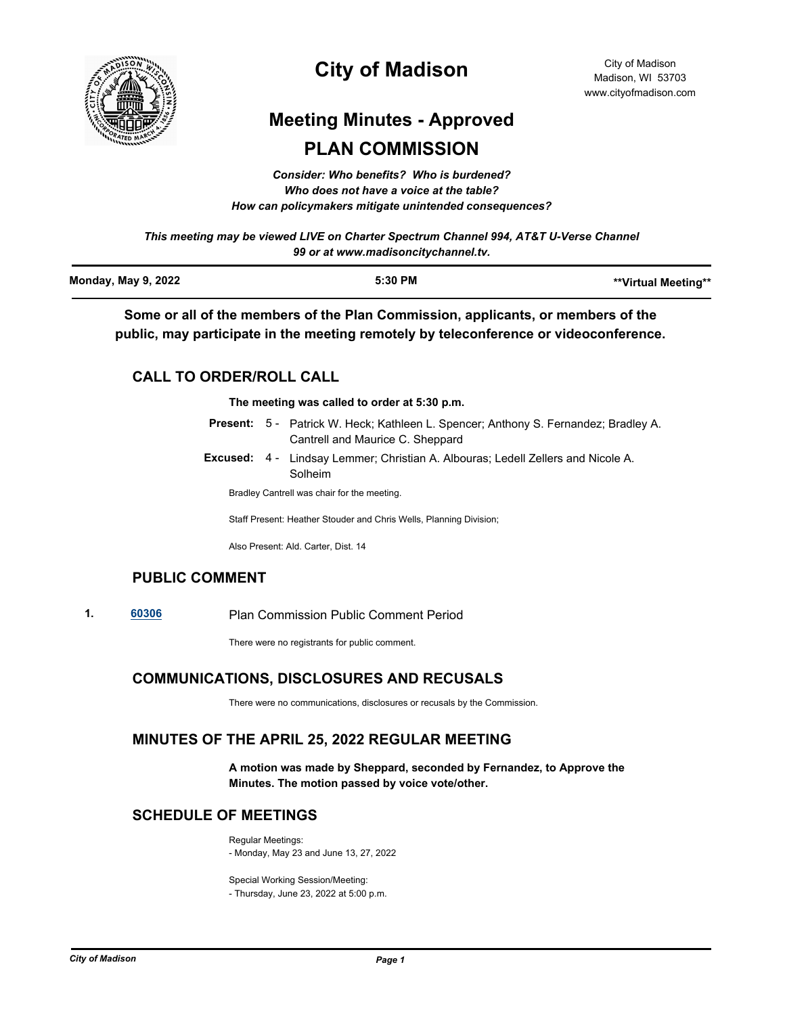

# **City of Madison**

# **Meeting Minutes - Approved PLAN COMMISSION**

*Consider: Who benefits? Who is burdened? Who does not have a voice at the table? How can policymakers mitigate unintended consequences?*

*This meeting may be viewed LIVE on Charter Spectrum Channel 994, AT&T U-Verse Channel 99 or at www.madisoncitychannel.tv.*

| <b>Monday, May 9, 2022</b> | 5:30 PM | **Virtual Meeting** |
|----------------------------|---------|---------------------|
|                            |         |                     |

**Some or all of the members of the Plan Commission, applicants, or members of the public, may participate in the meeting remotely by teleconference or videoconference.**

# **CALL TO ORDER/ROLL CALL**

**The meeting was called to order at 5:30 p.m.**

- Present: 5 Patrick W. Heck; Kathleen L. Spencer; Anthony S. Fernandez; Bradley A. Cantrell and Maurice C. Sheppard
- Excused: 4 Lindsay Lemmer; Christian A. Albouras; Ledell Zellers and Nicole A. Solheim

Bradley Cantrell was chair for the meeting.

Staff Present: Heather Stouder and Chris Wells, Planning Division;

Also Present: Ald. Carter, Dist. 14

## **PUBLIC COMMENT**

**1. [60306](http://madison.legistar.com/gateway.aspx?m=l&id=/matter.aspx?key=71173)** Plan Commission Public Comment Period

There were no registrants for public comment.

# **COMMUNICATIONS, DISCLOSURES AND RECUSALS**

There were no communications, disclosures or recusals by the Commission.

## **MINUTES OF THE APRIL 25, 2022 REGULAR MEETING**

**A motion was made by Sheppard, seconded by Fernandez, to Approve the Minutes. The motion passed by voice vote/other.**

## **SCHEDULE OF MEETINGS**

Regular Meetings:

- Monday, May 23 and June 13, 27, 2022

Special Working Session/Meeting:

- Thursday, June 23, 2022 at 5:00 p.m.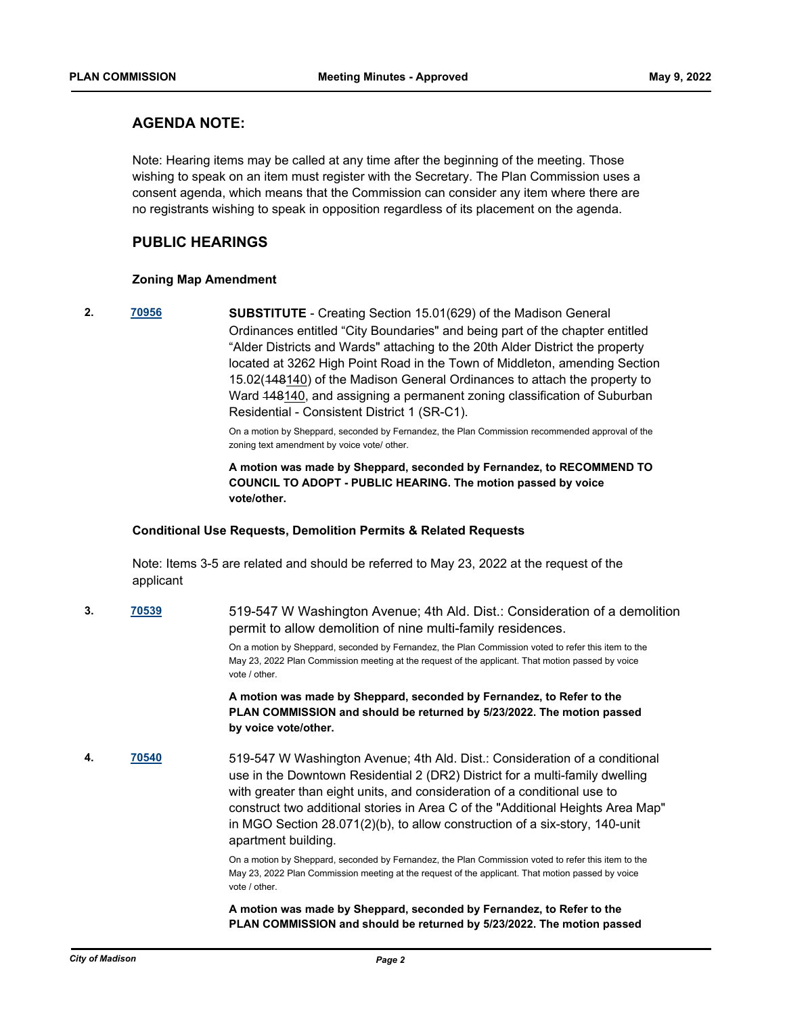## **AGENDA NOTE:**

Note: Hearing items may be called at any time after the beginning of the meeting. Those wishing to speak on an item must register with the Secretary. The Plan Commission uses a consent agenda, which means that the Commission can consider any item where there are no registrants wishing to speak in opposition regardless of its placement on the agenda.

## **PUBLIC HEARINGS**

### **Zoning Map Amendment**

**2. [70956](http://madison.legistar.com/gateway.aspx?m=l&id=/matter.aspx?key=82939) SUBSTITUTE** - Creating Section 15.01(629) of the Madison General Ordinances entitled "City Boundaries" and being part of the chapter entitled "Alder Districts and Wards" attaching to the 20th Alder District the property located at 3262 High Point Road in the Town of Middleton, amending Section 15.02(448140) of the Madison General Ordinances to attach the property to Ward 148140, and assigning a permanent zoning classification of Suburban Residential - Consistent District 1 (SR-C1).

> On a motion by Sheppard, seconded by Fernandez, the Plan Commission recommended approval of the zoning text amendment by voice vote/ other.

> **A motion was made by Sheppard, seconded by Fernandez, to RECOMMEND TO COUNCIL TO ADOPT - PUBLIC HEARING. The motion passed by voice vote/other.**

#### **Conditional Use Requests, Demolition Permits & Related Requests**

Note: Items 3-5 are related and should be referred to May 23, 2022 at the request of the applicant

**3. [70539](http://madison.legistar.com/gateway.aspx?m=l&id=/matter.aspx?key=82585)** 519-547 W Washington Avenue; 4th Ald. Dist.: Consideration of a demolition permit to allow demolition of nine multi-family residences.

> On a motion by Sheppard, seconded by Fernandez, the Plan Commission voted to refer this item to the May 23, 2022 Plan Commission meeting at the request of the applicant. That motion passed by voice vote / other.

> **A motion was made by Sheppard, seconded by Fernandez, to Refer to the PLAN COMMISSION and should be returned by 5/23/2022. The motion passed by voice vote/other.**

**4. [70540](http://madison.legistar.com/gateway.aspx?m=l&id=/matter.aspx?key=82586)** 519-547 W Washington Avenue; 4th Ald. Dist.: Consideration of a conditional use in the Downtown Residential 2 (DR2) District for a multi-family dwelling with greater than eight units, and consideration of a conditional use to construct two additional stories in Area C of the "Additional Heights Area Map" in MGO Section 28.071(2)(b), to allow construction of a six-story, 140-unit apartment building.

> On a motion by Sheppard, seconded by Fernandez, the Plan Commission voted to refer this item to the May 23, 2022 Plan Commission meeting at the request of the applicant. That motion passed by voice vote / other.

**A motion was made by Sheppard, seconded by Fernandez, to Refer to the PLAN COMMISSION and should be returned by 5/23/2022. The motion passed**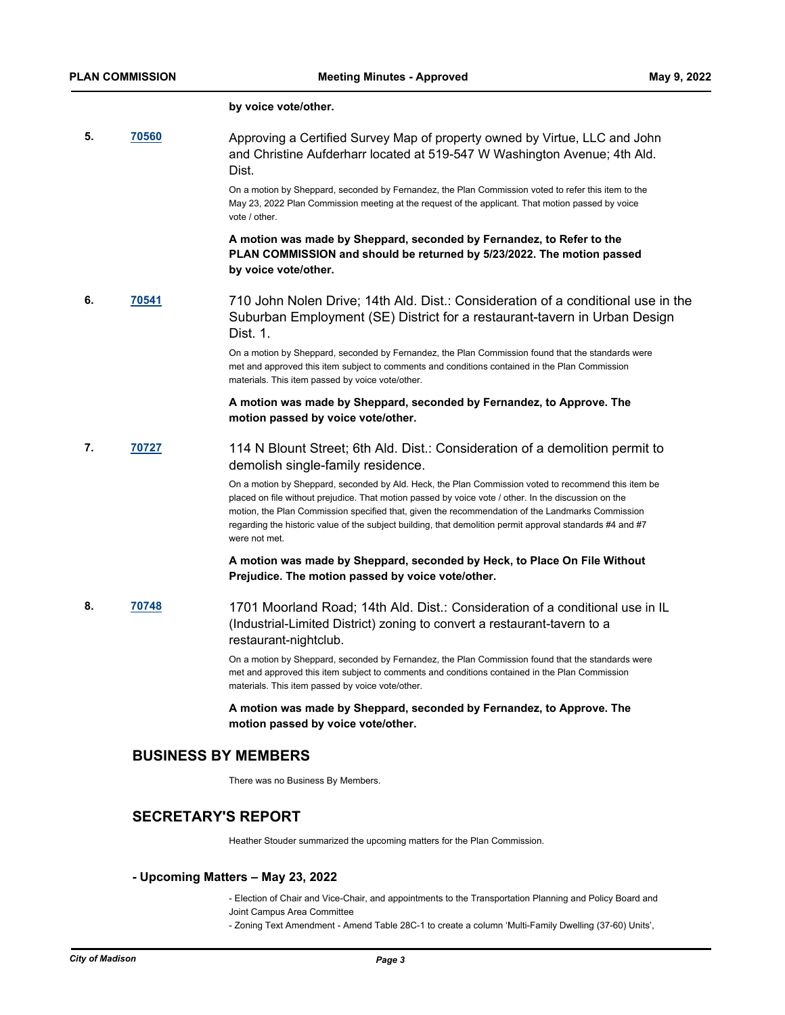#### **by voice vote/other.**

**5. [70560](http://madison.legistar.com/gateway.aspx?m=l&id=/matter.aspx?key=82599)** Approving a Certified Survey Map of property owned by Virtue, LLC and John and Christine Aufderharr located at 519-547 W Washington Avenue; 4th Ald. Dist.

> On a motion by Sheppard, seconded by Fernandez, the Plan Commission voted to refer this item to the May 23, 2022 Plan Commission meeting at the request of the applicant. That motion passed by voice vote / other.

**A motion was made by Sheppard, seconded by Fernandez, to Refer to the PLAN COMMISSION and should be returned by 5/23/2022. The motion passed by voice vote/other.**

**6. [70541](http://madison.legistar.com/gateway.aspx?m=l&id=/matter.aspx?key=82587)** 710 John Nolen Drive; 14th Ald. Dist.: Consideration of a conditional use in the Suburban Employment (SE) District for a restaurant-tavern in Urban Design Dist. 1.

> On a motion by Sheppard, seconded by Fernandez, the Plan Commission found that the standards were met and approved this item subject to comments and conditions contained in the Plan Commission materials. This item passed by voice vote/other.

### **A motion was made by Sheppard, seconded by Fernandez, to Approve. The motion passed by voice vote/other.**

**7. [70727](http://madison.legistar.com/gateway.aspx?m=l&id=/matter.aspx?key=82741)** 114 N Blount Street; 6th Ald. Dist.: Consideration of a demolition permit to demolish single-family residence.

> On a motion by Sheppard, seconded by Ald. Heck, the Plan Commission voted to recommend this item be placed on file without prejudice. That motion passed by voice vote / other. In the discussion on the motion, the Plan Commission specified that, given the recommendation of the Landmarks Commission regarding the historic value of the subject building, that demolition permit approval standards #4 and #7 were not met.

### **A motion was made by Sheppard, seconded by Heck, to Place On File Without Prejudice. The motion passed by voice vote/other.**

**8. [70748](http://madison.legistar.com/gateway.aspx?m=l&id=/matter.aspx?key=82762)** 1701 Moorland Road; 14th Ald. Dist.: Consideration of a conditional use in IL (Industrial-Limited District) zoning to convert a restaurant-tavern to a restaurant-nightclub.

> On a motion by Sheppard, seconded by Fernandez, the Plan Commission found that the standards were met and approved this item subject to comments and conditions contained in the Plan Commission materials. This item passed by voice vote/other.

**A motion was made by Sheppard, seconded by Fernandez, to Approve. The motion passed by voice vote/other.**

## **BUSINESS BY MEMBERS**

There was no Business By Members.

## **SECRETARY'S REPORT**

Heather Stouder summarized the upcoming matters for the Plan Commission.

### **- Upcoming Matters – May 23, 2022**

- Election of Chair and Vice-Chair, and appointments to the Transportation Planning and Policy Board and Joint Campus Area Committee

- Zoning Text Amendment - Amend Table 28C-1 to create a column 'Multi-Family Dwelling (37-60) Units',